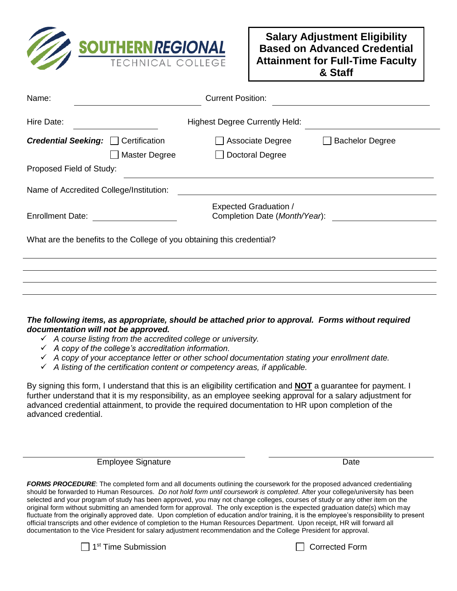

| Name:                                                                  |               | <b>Current Position:</b>                                      |                        |
|------------------------------------------------------------------------|---------------|---------------------------------------------------------------|------------------------|
| Hire Date:                                                             |               | <b>Highest Degree Currently Held:</b>                         |                        |
| <b>Credential Seeking:</b> Certification                               | Master Degree | Associate Degree<br>Doctoral Degree                           | <b>Bachelor Degree</b> |
| Proposed Field of Study:                                               |               |                                                               |                        |
| Name of Accredited College/Institution:                                |               |                                                               |                        |
| <b>Enrollment Date:</b>                                                |               | <b>Expected Graduation /</b><br>Completion Date (Month/Year): |                        |
| What are the benefits to the College of you obtaining this credential? |               |                                                               |                        |
|                                                                        |               |                                                               |                        |
|                                                                        |               |                                                               |                        |
|                                                                        |               |                                                               |                        |
|                                                                        |               |                                                               |                        |

## *The following items, as appropriate, should be attached prior to approval. Forms without required documentation will not be approved.*

- *A course listing from the accredited college or university.*
- *A copy of the college's accreditation information.*
- *A copy of your acceptance letter or other school documentation stating your enrollment date.*
- *A listing of the certification content or competency areas, if applicable.*

By signing this form, I understand that this is an eligibility certification and **NOT** a guarantee for payment. I further understand that it is my responsibility, as an employee seeking approval for a salary adjustment for advanced credential attainment, to provide the required documentation to HR upon completion of the advanced credential.

Employee Signature **Date** Date Date

**FORMS PROCEDURE**: The completed form and all documents outlining the coursework for the proposed advanced credentialing should be forwarded to Human Resources. *Do not hold form until coursework is completed*. After your college/university has been selected and your program of study has been approved, you may not change colleges, courses of study or any other item on the original form without submitting an amended form for approval. The only exception is the expected graduation date(s) which may fluctuate from the originally approved date. Upon completion of education and/or training, it is the employee's responsibility to present official transcripts and other evidence of completion to the Human Resources Department. Upon receipt, HR will forward all documentation to the Vice President for salary adjustment recommendation and the College President for approval.



 $\Box$  Corrected Form